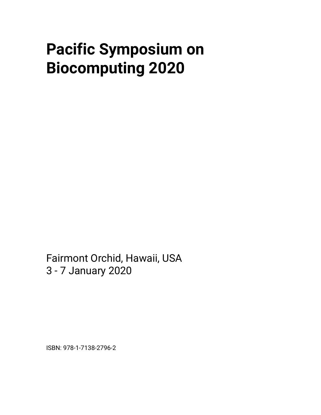## **Pacific Symposium on Biocomputing 2020**

Fairmont Orchid, Hawaii, USA 3 - 7 January 2020

ISBN: 978-1-7138-2796-2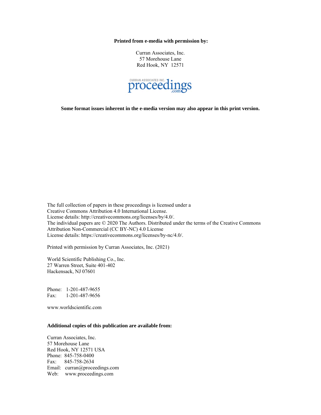**Printed from e-media with permission by:**

Curran Associates, Inc. 57 Morehouse Lane Red Hook, NY 12571



**Some format issues inherent in the e-media version may also appear in this print version.**

The full collection of papers in these proceedings is licensed under a Creative Commons Attribution 4.0 International License. License details: http://creativecommons.org/licenses/by/4.0/. The individual papers are © 2020 The Authors. Distributed under the terms of the Creative Commons Attribution Non-Commercial (CC BY-NC) 4.0 License License details: https://creativecommons.org/licenses/by-nc/4.0/.

Printed with permission by Curran Associates, Inc. (2021)

World Scientific Publishing Co., Inc. 27 Warren Street, Suite 401-402 Hackensack, NJ 07601

Phone: 1-201-487-9655 Fax: 1-201-487-9656

www.worldscientific.com

## **Additional copies of this publication are available from:**

Curran Associates, Inc. 57 Morehouse Lane Red Hook, NY 12571 USA Phone: 845-758-0400 Fax: 845-758-2634 Email: curran@proceedings.com Web: www.proceedings.com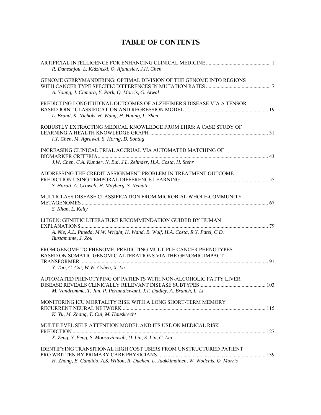## **TABLE OF CONTENTS**

| R. Daneshjou, L. Kidzinski, O. Afanasiev, J.H. Chen                                                                                                                 |  |
|---------------------------------------------------------------------------------------------------------------------------------------------------------------------|--|
| GENOME GERRYMANDERING: OPTIMAL DIVISION OF THE GENOME INTO REGIONS<br>A. Young, J. Chmura, Y. Park, Q. Morris, G. Atwal                                             |  |
| PREDICTING LONGITUDINAL OUTCOMES OF ALZHEIMER'S DISEASE VIA A TENSOR-<br>L. Brand, K. Nichols, H. Wang, H. Huang, L. Shen                                           |  |
| ROBUSTLY EXTRACTING MEDICAL KNOWLEDGE FROM EHRS: A CASE STUDY OF<br>I.Y. Chen, M. Agrawal, S. Horng, D. Sontag                                                      |  |
| INCREASING CLINICAL TRIAL ACCRUAL VIA AUTOMATED MATCHING OF<br>J.W. Chen, C.A. Kunder, N. Bui, J.L. Zehnder, H.A. Costa, H. Stehr                                   |  |
| ADDRESSING THE CREDIT ASSIGNMENT PROBLEM IN TREATMENT OUTCOME<br>S. Harati, A. Crowell, H. Mayberg, S. Nemati                                                       |  |
| MULTICLASS DISEASE CLASSIFICATION FROM MICROBIAL WHOLE-COMMUNITY<br>S. Khan, L. Kelly                                                                               |  |
| LITGEN: GENETIC LITERATURE RECOMMENDATION GUIDED BY HUMAN<br>A. Nie, A.L. Pineda, M.W. Wright, H. Wand, B. Wulf, H.A. Costa, R.Y. Patel, C.D.<br>Bustamante, J. Zou |  |
| FROM GENOME TO PHENOME: PREDICTING MULTIPLE CANCER PHENOTYPES<br>BASED ON SOMATIC GENOMIC ALTERATIONS VIA THE GENOMIC IMPACT<br>Y. Tao, C. Cai, W.W. Cohen, X. Lu   |  |
| AUTOMATED PHENOTYPING OF PATIENTS WITH NON-ALCOHOLIC FATTY LIVER<br>M. Vandromme, T. Jun, P. Perumalswami, J.T. Dudley, A. Branch, L. Li                            |  |
| MONITORING ICU MORTALITY RISK WITH A LONG SHORT-TERM MEMORY<br>K. Yu, M. Zhang, T. Cui, M. Hauskrecht                                                               |  |
| MULTILEVEL SELF-ATTENTION MODEL AND ITS USE ON MEDICAL RISK<br>X. Zeng, Y. Feng, S. Moosavinasab, D. Lin, S. Lin, C. Liu                                            |  |
| <b>IDENTIFYING TRANSITIONAL HIGH COST USERS FROM UNSTRUCTURED PATIENT</b><br>H. Zhang, E. Candido, A.S. Wilton, R. Duchen, L. Jaakkimainen, W. Wodchis, Q. Morris   |  |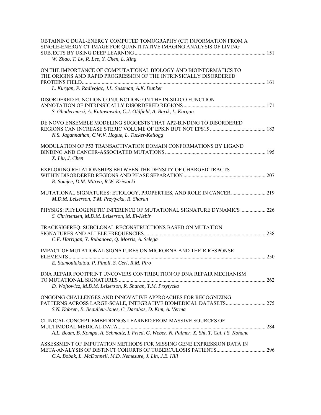| OBTAINING DUAL-ENERGY COMPUTED TOMOGRAPHY (CT) INFORMATION FROM A<br>SINGLE-ENERGY CT IMAGE FOR QUANTITATIVE IMAGING ANALYSIS OF LIVING<br>W. Zhao, T. Lv, R. Lee, Y. Chen, L. Xing         |  |
|---------------------------------------------------------------------------------------------------------------------------------------------------------------------------------------------|--|
| ON THE IMPORTANCE OF COMPUTATIONAL BIOLOGY AND BIOINFORMATICS TO<br>THE ORIGINS AND RAPID PROGRESSION OF THE INTRINSICALLY DISORDERED<br>L. Kurgan, P. Radivojac, J.L. Sussman, A.K. Dunker |  |
| DISORDERED FUNCTION CONJUNCTION: ON THE IN-SILICO FUNCTION<br>S. Ghadermarzi, A. Katuwawala, C.J. Oldfield, A. Barik, L. Kurgan                                                             |  |
| DE NOVO ENSEMBLE MODELING SUGGESTS THAT AP2-BINDING TO DISORDERED<br>N.S. Jagannathan, C.W.V. Hogue, L. Tucker-Kellogg                                                                      |  |
| MODULATION OF P53 TRANSACTIVATION DOMAIN CONFORMATIONS BY LIGAND<br>X. Liu, J. Chen                                                                                                         |  |
| EXPLORING RELATIONSHIPS BETWEEN THE DENSITY OF CHARGED TRACTS<br>R. Somjee, D.M. Mitrea, R.W. Kriwacki                                                                                      |  |
| M.D.M. Leiserson, T.M. Przytycka, R. Sharan                                                                                                                                                 |  |
| PHYSIGS: PHYLOGENETIC INFERENCE OF MUTATIONAL SIGNATURE DYNAMICS  226<br>S. Christensen, M.D.M. Leiserson, M. El-Kebir                                                                      |  |
| TRACKSIGFREQ: SUBCLONAL RECONSTRUCTIONS BASED ON MUTATION<br>C.F. Harrigan, Y. Rubanova, Q. Morris, A. Selega                                                                               |  |
| IMPACT OF MUTATIONAL SIGNATURES ON MICRORNA AND THEIR RESPONSE<br>E. Stamoulakatou, P. Pinoli, S. Ceri, R.M. Piro                                                                           |  |
| DNA REPAIR FOOTPRINT UNCOVERS CONTRIBUTION OF DNA REPAIR MECHANISM<br>D. Wojtowicz, M.D.M. Leiserson, R. Sharan, T.M. Przytycka                                                             |  |
| ONGOING CHALLENGES AND INNOVATIVE APPROACHES FOR RECOGNIZING<br>S.N. Kobren, B. Beaulieu-Jones, C. Darabos, D. Kim, A. Verma                                                                |  |
| CLINICAL CONCEPT EMBEDDINGS LEARNED FROM MASSIVE SOURCES OF<br>A.L. Beam, B. Kompa, A. Schmaltz, I. Fried, G. Weber, N. Palmer, X. Shi, T. Cai, I.S. Kohane                                 |  |
| ASSESSMENT OF IMPUTATION METHODS FOR MISSING GENE EXPRESSION DATA IN<br>C.A. Bobak, L. McDonnell, M.D. Nemesure, J. Lin, J.E. Hill                                                          |  |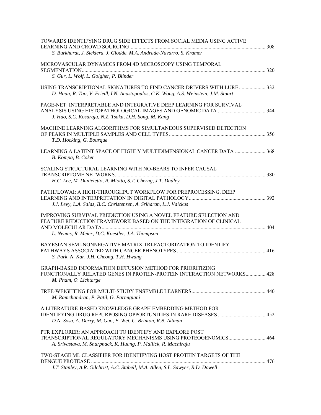| TOWARDS IDENTIFYING DRUG SIDE EFFECTS FROM SOCIAL MEDIA USING ACTIVE<br>S. Burkhardt, J. Siekiera, J. Glodde, M.A. Andrade-Navarro, S. Kramer                                             |  |
|-------------------------------------------------------------------------------------------------------------------------------------------------------------------------------------------|--|
| MICROVASCULAR DYNAMICS FROM 4D MICROSCOPY USING TEMPORAL<br>S. Gur, L. Wolf, L. Golgher, P. Blinder                                                                                       |  |
| USING TRANSCRIPTIONAL SIGNATURES TO FIND CANCER DRIVERS WITH LURE  332<br>D. Haan, R. Tao, V. Friedl, I.N. Anastopoulos, C.K. Wong, A.S. Weinstein, J.M. Stuart                           |  |
| PAGE-NET: INTERPRETABLE AND INTEGRATIVE DEEP LEARNING FOR SURVIVAL<br>J. Hao, S.C. Kosaraju, N.Z. Tsaku, D.H. Song, M. Kang                                                               |  |
| MACHINE LEARNING ALGORITHMS FOR SIMULTANEOUS SUPERVISED DETECTION<br>T.D. Hocking, G. Bourque                                                                                             |  |
| B. Kompa, B. Coker                                                                                                                                                                        |  |
| SCALING STRUCTURAL LEARNING WITH NO-BEARS TO INFER CAUSAL<br>H.C. Lee, M. Danieletto, R. Miotto, S.T. Cherng, J.T. Dudley                                                                 |  |
| PATHFLOWAI: A HIGH-THROUGHPUT WORKFLOW FOR PREPROCESSING, DEEP<br>J.J. Levy, L.A. Salas, B.C. Christensen, A. Sriharan, L.J. Vaickus                                                      |  |
| IMPROVING SURVIVAL PREDICTION USING A NOVEL FEATURE SELECTION AND<br>FEATURE REDUCTION FRAMEWORK BASED ON THE INTEGRATION OF CLINICAL<br>L. Neums, R. Meier, D.C. Koestler, J.A. Thompson |  |
| BAYESIAN SEMI-NONNEGATIVE MATRIX TRI-FACTORIZATION TO IDENTIFY<br>S. Park, N. Kar, J.H. Cheong, T.H. Hwang                                                                                |  |
| GRAPH-BASED INFORMATION DIFFUSION METHOD FOR PRIORITIZING<br>FUNCTIONALLY RELATED GENES IN PROTEIN-PROTEIN INTERACTION NETWORKS 428<br>M. Pham, O. Lichtarge                              |  |
| M. Ramchandran, P. Patil, G. Parmigiani                                                                                                                                                   |  |
| A LITERATURE-BASED KNOWLEDGE GRAPH EMBEDDING METHOD FOR<br>D.N. Sosa, A. Derry, M. Guo, E. Wei, C. Brinton, R.B. Altman                                                                   |  |
| PTR EXPLORER: AN APPROACH TO IDENTIFY AND EXPLORE POST<br>A. Srivastava, M. Sharpnack, K. Huang, P. Mallick, R. Machiraju                                                                 |  |
| TWO-STAGE ML CLASSIFIER FOR IDENTIFYING HOST PROTEIN TARGETS OF THE<br>J.T. Stanley, A.R. Gilchrist, A.C. Stabell, M.A. Allen, S.L. Sawyer, R.D. Dowell                                   |  |
|                                                                                                                                                                                           |  |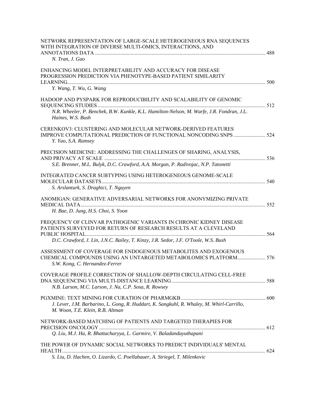| NETWORK REPRESENTATION OF LARGE-SCALE HETEROGENEOUS RNA SEQUENCES<br>WITH INTEGRATION OF DIVERSE MULTI-OMICS, INTERACTIONS, AND                                       |  |
|-----------------------------------------------------------------------------------------------------------------------------------------------------------------------|--|
| N. Tran, J. Gao                                                                                                                                                       |  |
| ENHANCING MODEL INTERPRETABILITY AND ACCURACY FOR DISEASE<br>PROGRESSION PREDICTION VIA PHENOTYPE-BASED PATIENT SIMILARITY                                            |  |
| Y. Wang, T. Wu, G. Wang                                                                                                                                               |  |
| HADOOP AND PYSPARK FOR REPRODUCIBILITY AND SCALABILITY OF GENOMIC                                                                                                     |  |
| N.R. Wheeler, P. Benchek, B.W. Kunkle, K.L. Hamilton-Nelson, M. Warfe, J.R. Fondran, J.L.<br>Haines, W.S. Bush                                                        |  |
| <b>CERENKOV3: CLUSTERING AND MOLECULAR NETWORK-DERIVED FEATURES</b><br>IMPROVE COMPUTATIONAL PREDICTION OF FUNCTIONAL NONCODING SNPS  524<br>Y. Yao, S.A. Ramsey      |  |
| PRECISION MEDICINE: ADDRESSING THE CHALLENGES OF SHARING, ANALYSIS,                                                                                                   |  |
| S.E. Brenner, M.L. Bulyk, D.C. Crawford, A.A. Morgan, P. Radivojac, N.P. Tatonetti                                                                                    |  |
| INTEGRATED CANCER SUBTYPING USING HETEROGENEOUS GENOME-SCALE<br>S. Arslanturk, S. Draghici, T. Nguyen                                                                 |  |
| ANOMIGAN: GENERATIVE ADVERSARIAL NETWORKS FOR ANONYMIZING PRIVATE<br>H. Bae, D. Jung, H.S. Choi, S. Yoon                                                              |  |
| FREQUENCY OF CLINVAR PATHOGENIC VARIANTS IN CHRONIC KIDNEY DISEASE<br>PATIENTS SURVEYED FOR RETURN OF RESEARCH RESULTS AT A CLEVELAND                                 |  |
| D.C. Crawford, J. Lin, J.N.C. Bailey, T. Kinzy, J.R. Sedor, J.F. O'Toole, W.S. Bush                                                                                   |  |
| ASSESSMENT OF COVERAGE FOR ENDOGENOUS METABOLITES AND EXOGENOUS<br>CHEMICAL COMPOUNDS USING AN UNTARGETED METABOLOMICS PLATFORM 576<br>S.W. Kong, C. Hernandez-Ferrer |  |
| COVERAGE PROFILE CORRECTION OF SHALLOW-DEPTH CIRCULATING CELL-FREE<br>N.B. Larson, M.C. Larson, J. Na, C.P. Sosa, R. Rowsey                                           |  |
| J. Lever, J.M. Barbarino, L. Gong, R. Huddart, K. Sangkuhl, R. Whaley, M. Whirl-Carrillo,<br>M. Woon, T.E. Klein, R.B. Altman                                         |  |
| NETWORK-BASED MATCHING OF PATIENTS AND TARGETED THERAPIES FOR                                                                                                         |  |
| Q. Liu, M.J. Ha, R. Bhattacharyya, L. Garmire, V. Baladandayuthapani                                                                                                  |  |
| THE POWER OF DYNAMIC SOCIAL NETWORKS TO PREDICT INDIVIDUALS' MENTAL                                                                                                   |  |
| S. Liu, D. Hachen, O. Lizardo, C. Poellabauer, A. Striegel, T. Milenkovic                                                                                             |  |